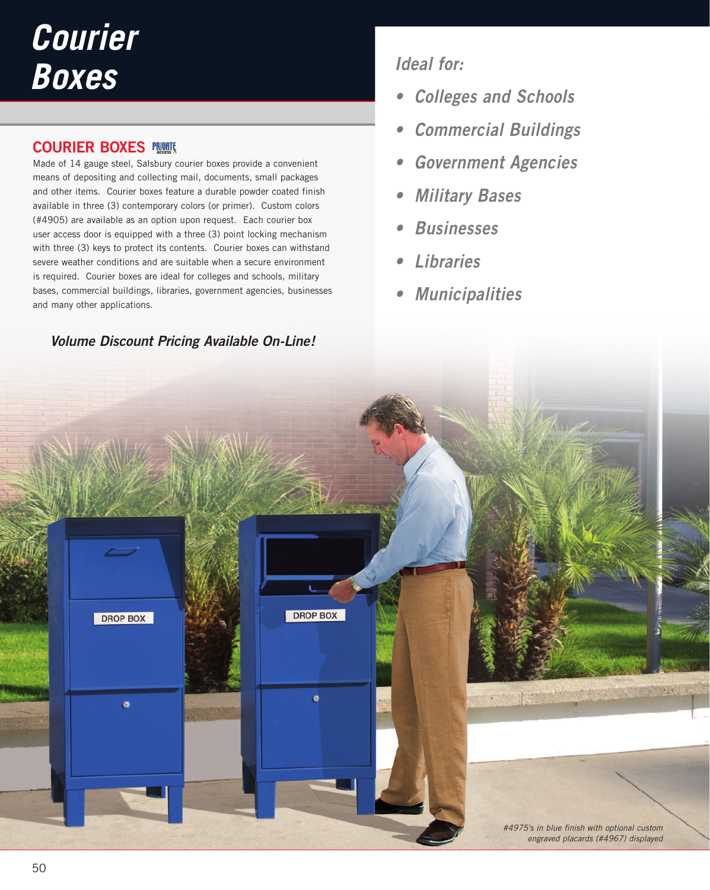# *Courier Boxes*

### **COURIER BOXES**

Made of 14 gauge steel, Salsbury courier boxes provide a convenient means of depositing and collecting mail, documents, small packages and other items. Courier boxes feature a durable powder coated finish available in three (3) contemporary colors (or primer). Custom colors (#4905) are available as an option upon request. Each courier box user access door is equipped with a three (3) point locking mechanism with three (3) keys to protect its contents. Courier boxes can withstand severe weather conditions and are suitable when a secure environment is required. Courier boxes are ideal for colleges and schools, military bases, commercial buildings, libraries, government agencies, businesses and many other applications.

## **Volume Discount Pricing Available On-Line!**

# **Ideal for:**

- **Colleges and Schools**
- **Commercial Buildings**
- **Government Agencies**
- **Military Bases**
- **Businesses**
- **Libraries**
- **Municipalities**